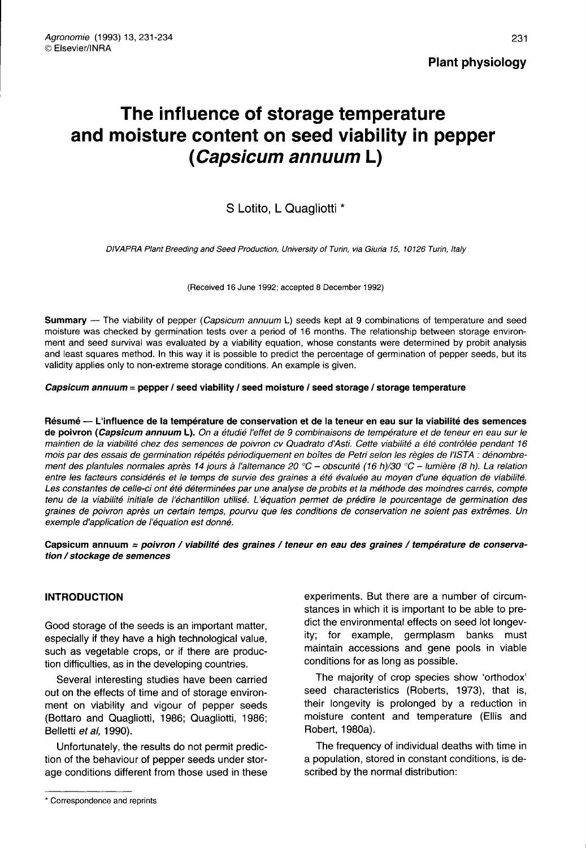231

# The influence of storage temperature and moisture content on seed viability in pepper (Capsicum annuum L)

## S Lotito, L Quagliotti \*

DIVAPRA Plant Breeding and Seed Production, University of Turin, via Giuria 15, 10126 Turin, Italy

(Received 16 June 1992; accepted 8 December 1992)

Summary — The viability of pepper (Capsicum annuum L) seeds kept at 9 combinations of temperature and seed moisture was checked by germination tests over a period of 16 months. The relationship between storage environment and seed survival was evaluated by a viability equation, whose constants were determined by probit analysis and least squares method. In this way it is possible to predict the percentage of germination of pepper seeds, but its validity applies only to non-extreme storage conditions. An example is given.

Capsicum annuum = pepper / seed viability / seed moisture / seed storage / storage temperature

Résumé — L'influence de la température de conservation et de la teneur en eau sur la viabilité des semences de poivron (Capsicum annuum L). On a étudié l'effet de 9 combinaisons de température et de teneur en eau sur le maintien de la viabilité chez des semences de poivron cv Quadrato d'Asti. Cette viabilité a été contrôlée pendant 16 mois par des essais de germination répétés périodiquement en boîtes de Petri selon les règles de l'ISTA : dénombrement des plantules normales après 14 jours à l'alternance 20 °C - obscurité (16 h)/30 °C - lumière (8 h). La relation entre les facteurs considérés et le temps de survie des graines a été évaluée au moyen d'une équation de viabilité. Les constantes de celle-ci ont été déterminées par une analyse de probits et la méthode des moindres carrés, compte tenu de la viabilité initiale de l'échantillon utilisé. L'équation permet de prédire le pourcentage de germination des graines de poivron après un certain temps, pourvu que les conditions de conservation ne soient pas extrêmes. Un exemple d'application de l'équation est donné.

Capsicum annuum = poivron / viabilité des graines / teneur en eau des graines / température de conservation / stockage de semences

### INTRODUCTION

Good storage of the seeds is an important matter, especially if they have a high technological value, such as vegetable crops, or if there are production difficulties, as in the developing countries.

Several interesting studies have been carried out on the effects of time and of storage environment on viability and vigour of pepper seeds (Bottaro and Quagliotti, 1986; Quagliotti, 1986; Belletti et al, 1990).

Unfortunately, the results do not permit prediction of the behaviour of pepper seeds under storage conditions different from those used in these

experiments. But there are a number of circumstances in which it is important to be able to predict the environmental effects on seed lot longevity; for example, germplasm banks must maintain accessions and gene pools in viable conditions for as long as possible.

The majority of crop species show 'orthodox' seed characteristics (Roberts, 1973), that is, their longevity is prolonged by a reduction in moisture content and temperature (Ellis and Robert, 1980a).

The frequency of individual deaths with time in a population, stored in constant conditions, is described by the normal distribution:

<sup>\*</sup> Correspondence and reprints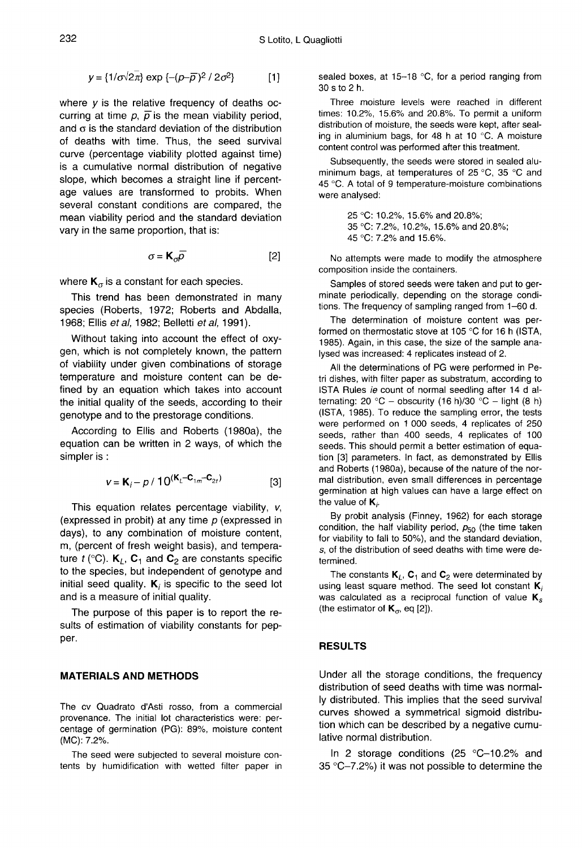$$
y = \{1/\sigma\sqrt{2\pi}\} \exp \{-(p-\overline{\rho})^2/2\sigma^2\} \tag{1}
$$

where  $y$  is the relative frequency of deaths occurring at time  $p, \bar{p}$  is the mean viability period, and  $\sigma$  is the standard deviation of the distribution of deaths with time. Thus, the seed survival curve (percentage viability plotted against time) is a cumulative normal distribution of negative slope, which becomes a straight line if percentage values are transformed to probits. When several constant conditions are compared, the mean viability period and the standard deviation vary in the same proportion, that is:

$$
\sigma = \mathbf{K}_{\sigma} \overline{\rho} \tag{2}
$$

where  $\mathbf{K}_{\sigma}$  is a constant for each species.

This trend has been demonstrated in many species (Roberts, 1972; Roberts and Abdalla, 1968; Ellis et al, 1982; Belletti et al, 1991).

Without taking into account the effect of oxygen, which is not completely known, the pattern of viability under given combinations of storage temperature and moisture content can be defined by an equation which takes into account the initial quality of the seeds, according to their genotype and to the prestorage conditions.

According to Ellis and Roberts (1980a), the equation can be written in 2 ways, of which the simpler is :

$$
v = K_i - p / 10^{(K_i - C_{1m} - C_{2t})}
$$
 [3]

This equation relates percentage viability,  $v$ , (expressed in probit) at any time  $p$  (expressed in days), to any combination of moisture content, m, (percent of fresh weight basis), and temperature  $t$  (°C).  $K_L$ ,  $C_1$  and  $C_2$  are constants specific to the species, but independent of genotype and initial seed quality.  $K_i$  is specific to the seed lot and is a measure of initial quality.

The purpose of this paper is to report the results of estimation of viability constants for pepper.

#### MATERIALS AND METHODS

The cv Quadrato d'Asti rosso, from a commercial provenance. The initial lot characteristics were: percentage of germination (PG): 89%, moisture content (MC): 7.2%.

The seed were subjected to several moisture contents by humidification with wetted filter paper in sealed boxes, at 15-18 °C, for a period ranging from 30 s to 2 h.

Three moisture levels were reached in different times: 10.2%, 15.6% and 20.8%. To permit a uniform distribution of moisture, the seeds were kept, after sealing in aluminium bags, for 48 h at 10 °C. A moisture content control was performed after this treatment.

Subsequently, the seeds were stored in sealed aluminimum bags, at temperatures of 25 °C, 35 °C and 45 °C. A total of 9 temperature-moisture combinations were analysed:

> 25 °C: 10.2%, 15.6% and 20.8%; 35 °C: 7.2%, 10.2%, 15.6% and 20.8%; 45 °C: 7.2% and 15.6%.

No attempts were made to modify the atmosphere composition inside the containers.

Samples of stored seeds were taken and put to germinate periodically, depending on the storage conditions. The frequency of sampling ranged from 1-60 d.

The determination of moisture content was performed on thermostatic stove at 105 °C for 16 h (ISTA, 1985). Again, in this case, the size of the sample analysed was increased: 4 replicates instead of 2.

All the determinations of PG were performed in Petri dishes, with filter paper as substratum, according to ISTA Rules ie count of normal seedling after 14 d alternating: 20 °C - obscurity (16 h)/30 °C - light (8 h) (ISTA, 1985). To reduce the sampling error, the tests were performed on 1 000 seeds, 4 replicates of 250 seeds, rather than 400 seeds, 4 replicates of 100 seeds. This should permit a better estimation of equation [3] parameters. In fact, as demonstrated by Ellis and Roberts (1980a), because of the nature of the normal distribution, even small differences in percentage germination at high values can have a large effect on the value of  $K_i$ .

By probit analysis (Finney, 1962) for each storage condition, the half viability period,  $p_{50}$  (the time taken for viability to fall to 50%), and the standard deviation, s, of the distribution of seed deaths with time were determined.

The constants  $K_L$ ,  $C_1$  and  $C_2$  were determinated by using least square method. The seed lot constant  $K_i$  was calculated as a reciprocal function of value  $K_s$ (the estimator of  $K_{\sigma}$ , eq [2]).

#### RESULTS

Under all the storage conditions, the frequency distribution of seed deaths with time was normally distributed. This implies that the seed survival curves showed a symmetrical sigmoid distribution which can be described by a negative cumulative normal distribution.

In 2 storage conditions (25 °C-10.2% and 35 °C-7.2%) it was not possible to determine the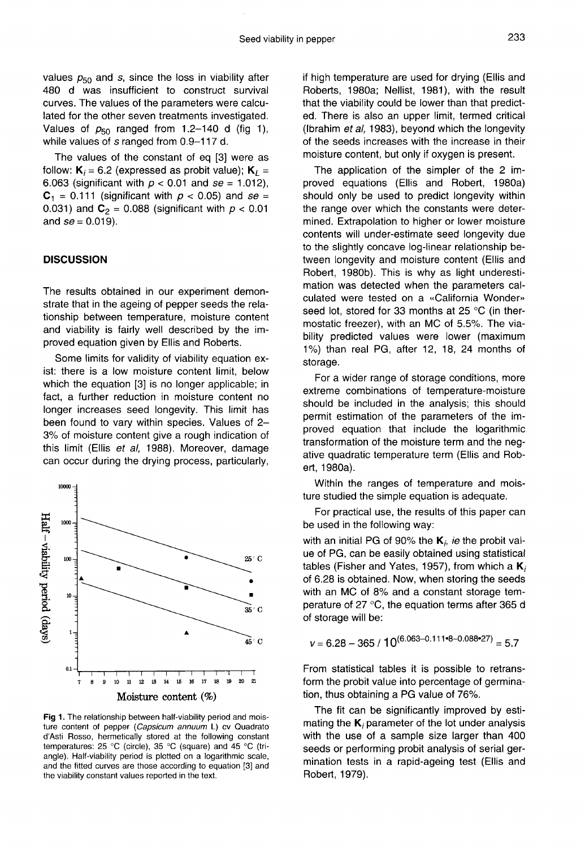values  $p_{50}$  and s, since the loss in viability after 480 d was insufficient to construct survival curves. The values of the parameters were calculated for the other seven treatments investigated. Values of  $p_{50}$  ranged from 1.2-140 d (fig 1), while values of s ranged from 0.9-117 d.

The values of the constant of eq [3] were as follow:  $K_i = 6.2$  (expressed as probit value);  $K_L = 6.063$  (significant with  $p < 0.01$  and se = 1.012),  $C_1$  = 0.111 (significant with  $p < 0.05$ ) and se = 0.031) and  $C_2$  = 0.088 (significant with  $p < 0.01$ and  $se = 0.019$ ).

#### **DISCUSSION**

The results obtained in our experiment demonstrate that in the ageing of pepper seeds the relationship between temperature, moisture content and viability is fairly well described by the improved equation given by Ellis and Roberts.

Some limits for validity of viability equation exist: there is a low moisture content limit, below which the equation [3] is no longer applicable; in fact, a further reduction in moisture content no longer increases seed longevity. This limit has been found to vary within species. Values of 2- 3% of moisture content give a rough indication of this limit (Ellis et al, 1988). Moreover, damage can occur during the drying process, particularly,



Fig 1. The relationship between half-viability period and moisture content of pepper (Capsicum annuum L) cv Quadrato d'Asti Rosso, hermetically stored at the following constant temperatures: 25 °C (circle), 35 °C (square) and 45 °C (triangle). Half-viability period is plotted on a logarithmic scale, and the fitted curves are those according to equation [3] and the viability constant values reported in the text.

if high temperature are used for drying (Ellis and Roberts, 1980a; Nellist, 1981), with the result that the viability could be lower than that predicted. There is also an upper limit, termed critical (Ibrahim et al, 1983), beyond which the longevity of the seeds increases with the increase in their moisture content, but only if oxygen is present.

The application of the simpler of the 2 improved equations (Ellis and Robert, 1980a) should only be used to predict longevity within the range over which the constants were determined. Extrapolation to higher or lower moisture contents will under-estimate seed longevity due to the slightly concave log-linear relationship between longevity and moisture content (Ellis and Robert, 1980b). This is why as light underestimation was detected when the parameters calculated were tested on a «California Wonder» seed lot, stored for 33 months at 25 °C (in thermostatic freezer), with an MC of 5.5%. The viability predicted values were lower (maximum 1%) than real PG, after 12, 18, 24 months of storage.

For a wider range of storage conditions, more extreme combinations of temperature-moisture should be included in the analysis; this should permit estimation of the parameters of the improved equation that include the logarithmic transformation of the moisture term and the negative quadratic temperature term (Ellis and Robert, 1980a).

Within the ranges of temperature and moisture studied the simple equation is adequate.

For practical use, the results of this paper can be used in the following way:

with an initial PG of 90% the  $K_i$ , ie the probit value of PG, can be easily obtained using statistical tables (Fisher and Yates, 1957), from which a  $K_i$ of 6.28 is obtained. Now, when storing the seeds with an MC of 8% and a constant storage temperature of 27 °C, the equation terms after 365 d of storage will be:

$$
v = 6.28 - 365 / 10^{(6.063 - 0.111 \cdot 8 - 0.088 \cdot 27)} = 5.7
$$

From statistical tables it is possible to retransform the probit value into percentage of germination, thus obtaining a PG value of 76%.

The fit can be significantly improved by estimating the  $K_i$  parameter of the lot under analysis with the use of a sample size larger than 400 seeds or performing probit analysis of serial germination tests in a rapid-ageing test (Ellis and Robert, 1979).